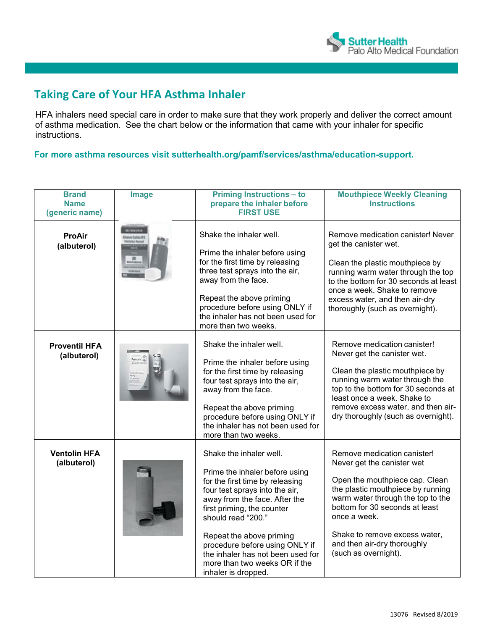

## **Taking Care of Your HFA Asthma Inhaler**

HFA inhalers need special care in order to make sure that they work properly and deliver the correct amount of asthma medication. See the chart below or the information that came with your inhaler for specific instructions.

**For more asthma resources visit sutterhealth.org/pamf/services/asthma/education-support.**

| <b>Brand</b><br><b>Name</b><br>(generic name) | Image | <b>Priming Instructions - to</b><br>prepare the inhaler before<br><b>FIRST USE</b>                                                                                                                                                                                                                                                                                             | <b>Mouthpiece Weekly Cleaning</b><br><b>Instructions</b>                                                                                                                                                                                                                                                        |
|-----------------------------------------------|-------|--------------------------------------------------------------------------------------------------------------------------------------------------------------------------------------------------------------------------------------------------------------------------------------------------------------------------------------------------------------------------------|-----------------------------------------------------------------------------------------------------------------------------------------------------------------------------------------------------------------------------------------------------------------------------------------------------------------|
| <b>ProAir</b><br>(albuterol)                  |       | Shake the inhaler well.<br>Prime the inhaler before using<br>for the first time by releasing<br>three test sprays into the air,<br>away from the face.<br>Repeat the above priming<br>procedure before using ONLY if<br>the inhaler has not been used for<br>more than two weeks.                                                                                              | Remove medication canister! Never<br>get the canister wet.<br>Clean the plastic mouthpiece by<br>running warm water through the top<br>to the bottom for 30 seconds at least<br>once a week. Shake to remove<br>excess water, and then air-dry<br>thoroughly (such as overnight).                               |
| <b>Proventil HFA</b><br>(albuterol)           |       | Shake the inhaler well.<br>Prime the inhaler before using<br>for the first time by releasing<br>four test sprays into the air,<br>away from the face.<br>Repeat the above priming<br>procedure before using ONLY if<br>the inhaler has not been used for<br>more than two weeks.                                                                                               | Remove medication canister!<br>Never get the canister wet.<br>Clean the plastic mouthpiece by<br>running warm water through the<br>top to the bottom for 30 seconds at<br>least once a week. Shake to<br>remove excess water, and then air-<br>dry thoroughly (such as overnight).                              |
| <b>Ventolin HFA</b><br>(albuterol)            |       | Shake the inhaler well.<br>Prime the inhaler before using<br>for the first time by releasing<br>four test sprays into the air,<br>away from the face. After the<br>first priming, the counter<br>should read "200."<br>Repeat the above priming<br>procedure before using ONLY if<br>the inhaler has not been used for<br>more than two weeks OR if the<br>inhaler is dropped. | Remove medication canister!<br>Never get the canister wet<br>Open the mouthpiece cap. Clean<br>the plastic mouthpiece by running<br>warm water through the top to the<br>bottom for 30 seconds at least<br>once a week.<br>Shake to remove excess water,<br>and then air-dry thoroughly<br>(such as overnight). |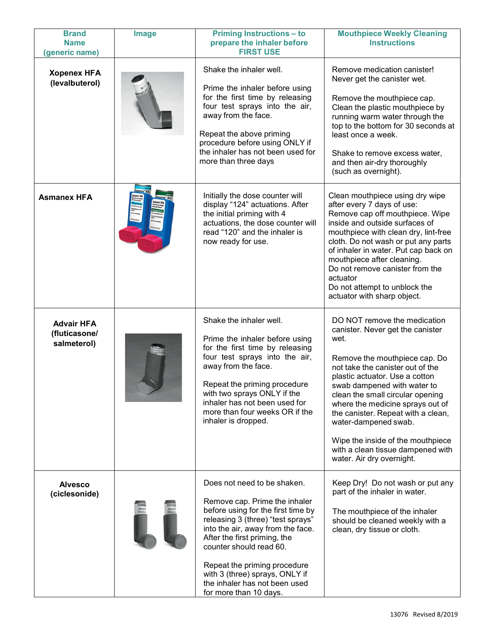| <b>Brand</b><br><b>Name</b><br>(generic name)     | <b>Image</b> | <b>Priming Instructions - to</b><br>prepare the inhaler before<br><b>FIRST USE</b>                                                                                                                                                                                                                                                                                   | <b>Mouthpiece Weekly Cleaning</b><br><b>Instructions</b>                                                                                                                                                                                                                                                                                                                                                                                                    |
|---------------------------------------------------|--------------|----------------------------------------------------------------------------------------------------------------------------------------------------------------------------------------------------------------------------------------------------------------------------------------------------------------------------------------------------------------------|-------------------------------------------------------------------------------------------------------------------------------------------------------------------------------------------------------------------------------------------------------------------------------------------------------------------------------------------------------------------------------------------------------------------------------------------------------------|
| <b>Xopenex HFA</b><br>(levalbuterol)              |              | Shake the inhaler well.<br>Prime the inhaler before using<br>for the first time by releasing<br>four test sprays into the air,<br>away from the face.<br>Repeat the above priming<br>procedure before using ONLY if<br>the inhaler has not been used for<br>more than three days                                                                                     | Remove medication canister!<br>Never get the canister wet.<br>Remove the mouthpiece cap.<br>Clean the plastic mouthpiece by<br>running warm water through the<br>top to the bottom for 30 seconds at<br>least once a week.<br>Shake to remove excess water,<br>and then air-dry thoroughly<br>(such as overnight).                                                                                                                                          |
| <b>Asmanex HFA</b>                                |              | Initially the dose counter will<br>display "124" actuations. After<br>the initial priming with 4<br>actuations, the dose counter will<br>read "120" and the inhaler is<br>now ready for use.                                                                                                                                                                         | Clean mouthpiece using dry wipe<br>after every 7 days of use:<br>Remove cap off mouthpiece. Wipe<br>inside and outside surfaces of<br>mouthpiece with clean dry, lint-free<br>cloth. Do not wash or put any parts<br>of inhaler in water. Put cap back on<br>mouthpiece after cleaning.<br>Do not remove canister from the<br>actuator<br>Do not attempt to unblock the<br>actuator with sharp object.                                                      |
| <b>Advair HFA</b><br>(fluticasone/<br>salmeterol) |              | Shake the inhaler well.<br>Prime the inhaler before using<br>for the first time by releasing<br>four test sprays into the air,<br>away from the face.<br>Repeat the priming procedure<br>with two sprays ONLY if the<br>inhaler has not been used for<br>more than four weeks OR if the<br>inhaler is dropped.                                                       | DO NOT remove the medication<br>canister. Never get the canister<br>wet.<br>Remove the mouthpiece cap. Do<br>not take the canister out of the<br>plastic actuator. Use a cotton<br>swab dampened with water to<br>clean the small circular opening<br>where the medicine sprays out of<br>the canister. Repeat with a clean,<br>water-dampened swab.<br>Wipe the inside of the mouthpiece<br>with a clean tissue dampened with<br>water. Air dry overnight. |
| <b>Alvesco</b><br>(ciclesonide)                   |              | Does not need to be shaken.<br>Remove cap. Prime the inhaler<br>before using for the first time by<br>releasing 3 (three) "test sprays"<br>into the air, away from the face.<br>After the first priming, the<br>counter should read 60.<br>Repeat the priming procedure<br>with 3 (three) sprays, ONLY if<br>the inhaler has not been used<br>for more than 10 days. | Keep Dry! Do not wash or put any<br>part of the inhaler in water.<br>The mouthpiece of the inhaler<br>should be cleaned weekly with a<br>clean, dry tissue or cloth.                                                                                                                                                                                                                                                                                        |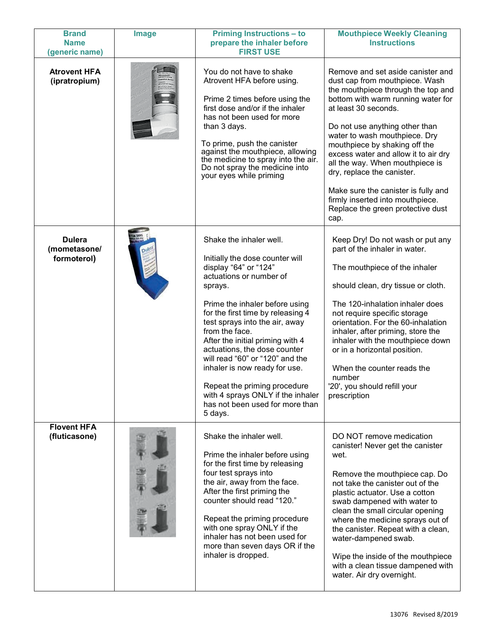| <b>Brand</b><br><b>Name</b>                  | <b>Image</b> | <b>Priming Instructions - to</b><br>prepare the inhaler before                                                                                                                                                                                                                                                                                                                                                                                                                                                  | <b>Mouthpiece Weekly Cleaning</b><br><b>Instructions</b>                                                                                                                                                                                                                                                                                                                                                                                                                                                     |
|----------------------------------------------|--------------|-----------------------------------------------------------------------------------------------------------------------------------------------------------------------------------------------------------------------------------------------------------------------------------------------------------------------------------------------------------------------------------------------------------------------------------------------------------------------------------------------------------------|--------------------------------------------------------------------------------------------------------------------------------------------------------------------------------------------------------------------------------------------------------------------------------------------------------------------------------------------------------------------------------------------------------------------------------------------------------------------------------------------------------------|
| (generic name)                               |              | <b>FIRST USE</b>                                                                                                                                                                                                                                                                                                                                                                                                                                                                                                |                                                                                                                                                                                                                                                                                                                                                                                                                                                                                                              |
| <b>Atrovent HFA</b><br>(ipratropium)         |              | You do not have to shake<br>Atrovent HFA before using.<br>Prime 2 times before using the<br>first dose and/or if the inhaler<br>has not been used for more<br>than 3 days.<br>To prime, push the canister<br>against the mouthpiece, allowing<br>the medicine to spray into the air.<br>Do not spray the medicine into<br>your eyes while priming                                                                                                                                                               | Remove and set aside canister and<br>dust cap from mouthpiece. Wash<br>the mouthpiece through the top and<br>bottom with warm running water for<br>at least 30 seconds.<br>Do not use anything other than<br>water to wash mouthpiece. Dry<br>mouthpiece by shaking off the<br>excess water and allow it to air dry<br>all the way. When mouthpiece is<br>dry, replace the canister.<br>Make sure the canister is fully and<br>firmly inserted into mouthpiece.<br>Replace the green protective dust<br>cap. |
| <b>Dulera</b><br>(mometasone/<br>formoterol) |              | Shake the inhaler well.<br>Initially the dose counter will<br>display "64" or "124"<br>actuations or number of<br>sprays.<br>Prime the inhaler before using<br>for the first time by releasing 4<br>test sprays into the air, away<br>from the face.<br>After the initial priming with 4<br>actuations, the dose counter<br>will read "60" or "120" and the<br>inhaler is now ready for use.<br>Repeat the priming procedure<br>with 4 sprays ONLY if the inhaler<br>has not been used for more than<br>5 days. | Keep Dry! Do not wash or put any<br>part of the inhaler in water.<br>The mouthpiece of the inhaler<br>should clean, dry tissue or cloth.<br>The 120-inhalation inhaler does<br>not require specific storage<br>orientation. For the 60-inhalation<br>inhaler, after priming, store the<br>inhaler with the mouthpiece down<br>or in a horizontal position.<br>When the counter reads the<br>number<br>'20', you should refill your<br>prescription                                                           |
| <b>Flovent HFA</b><br>(fluticasone)          |              | Shake the inhaler well.<br>Prime the inhaler before using<br>for the first time by releasing<br>four test sprays into<br>the air, away from the face.<br>After the first priming the<br>counter should read "120."<br>Repeat the priming procedure<br>with one spray ONLY if the<br>inhaler has not been used for<br>more than seven days OR if the<br>inhaler is dropped.                                                                                                                                      | DO NOT remove medication<br>canister! Never get the canister<br>wet.<br>Remove the mouthpiece cap. Do<br>not take the canister out of the<br>plastic actuator. Use a cotton<br>swab dampened with water to<br>clean the small circular opening<br>where the medicine sprays out of<br>the canister. Repeat with a clean,<br>water-dampened swab.<br>Wipe the inside of the mouthpiece<br>with a clean tissue dampened with<br>water. Air dry overnight.                                                      |